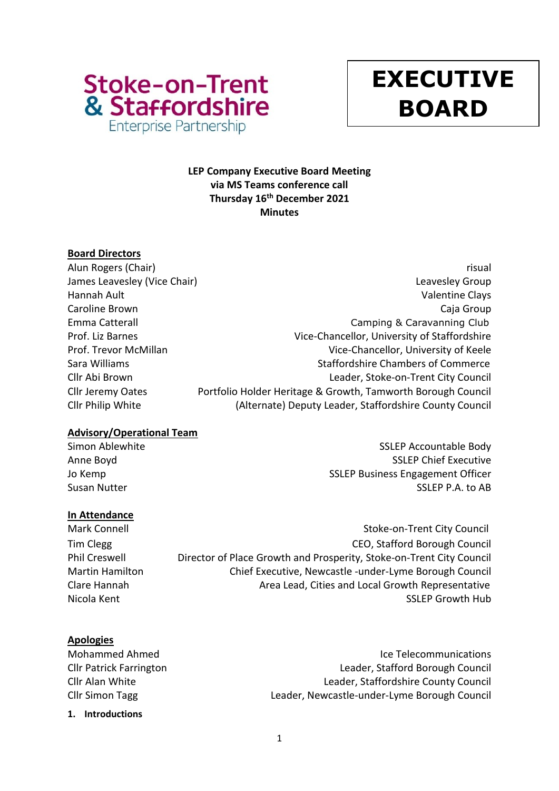

# **y EXECUTIVE BOARD**

# **LEP Company Executive Board Meeting via MS Teams conference call Thursday 16 th December 2021 Minutes**

# **Board Directors**

Alun Rogers (Chair) **risual** James Leavesley (Vice Chair) **Leaves According to the Chair** Chair Chair Chair Chair Chair Chair Chair Chair Chai Hannah Ault Valentine Clays Caroline Brown Caja Group Emma Catterall **Emma** Catterall Camping & Caravanning Club Prof. Liz Barnes **Vice-Chancellor**, University of Staffordshire Prof. Trevor McMillan Vice-Chancellor, University of Keele Sara Williams **Staffordshire Chambers of Commerce** Staffordshire Chambers of Commerce Cllr Abi Brown Leader, Stoke-on-Trent City Council Cllr Jeremy Oates Portfolio Holder Heritage & Growth, Tamworth Borough Council Cllr Philip White (Alternate) Deputy Leader, Staffordshire County Council

# **Advisory/Operational Team**

Simon Ablewhite Simon Ablewhite SSLEP Accountable Body Anne Boyd SSLEP Chief Executive Jo Kemp **SSLEP Business Engagement Officer** SSLEP Business Engagement Officer Susan Nutter SSLEP P.A. to AB

# **In Attendance**

Mark Connell **Mark Connell** Stoke-on-Trent City Council Tim Clegg CEO, Stafford Borough Council Phil Creswell **Director of Place Growth and Prosperity, Stoke-on-Trent City Council** Martin Hamilton Chief Executive, Newcastle -under-Lyme Borough Council Clare Hannah Area Lead, Cities and Local Growth Representative

Nicola Kent SSLEP Growth Hub

# **Apologies**

Mohammed Ahmed Ice Telecommunications Cllr Patrick Farrington Leader, Stafford Borough Council Cllr Alan White Leader, Staffordshire County Council Cllr Simon Tagg Leader, Newcastle-under-Lyme Borough Council

**1. Introductions**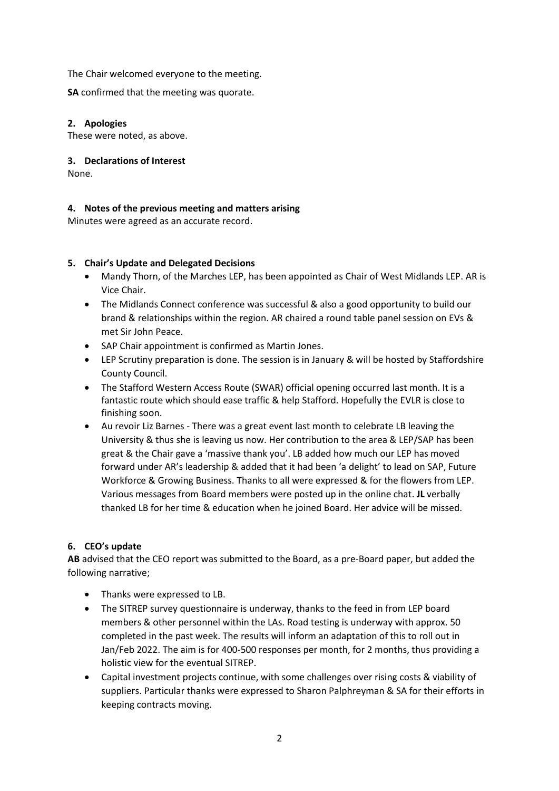The Chair welcomed everyone to the meeting.

**SA** confirmed that the meeting was quorate.

# **2. Apologies**

These were noted, as above.

## **3. Declarations of Interest**

None.

# **4. Notes of the previous meeting and matters arising**

Minutes were agreed as an accurate record.

### **5. Chair's Update and Delegated Decisions**

- Mandy Thorn, of the Marches LEP, has been appointed as Chair of West Midlands LEP. AR is Vice Chair.
- The Midlands Connect conference was successful & also a good opportunity to build our brand & relationships within the region. AR chaired a round table panel session on EVs & met Sir John Peace.
- SAP Chair appointment is confirmed as Martin Jones.
- LEP Scrutiny preparation is done. The session is in January & will be hosted by Staffordshire County Council.
- The Stafford Western Access Route (SWAR) official opening occurred last month. It is a fantastic route which should ease traffic & help Stafford. Hopefully the EVLR is close to finishing soon.
- Au revoir Liz Barnes There was a great event last month to celebrate LB leaving the University & thus she is leaving us now. Her contribution to the area & LEP/SAP has been great & the Chair gave a 'massive thank you'. LB added how much our LEP has moved forward under AR's leadership & added that it had been 'a delight' to lead on SAP, Future Workforce & Growing Business. Thanks to all were expressed & for the flowers from LEP. Various messages from Board members were posted up in the online chat. **JL** verbally thanked LB for her time & education when he joined Board. Her advice will be missed.

# **6. CEO's update**

**AB** advised that the CEO report was submitted to the Board, as a pre-Board paper, but added the following narrative;

- Thanks were expressed to LB.
- The SITREP survey questionnaire is underway, thanks to the feed in from LEP board members & other personnel within the LAs. Road testing is underway with approx. 50 completed in the past week. The results will inform an adaptation of this to roll out in Jan/Feb 2022. The aim is for 400-500 responses per month, for 2 months, thus providing a holistic view for the eventual SITREP.
- Capital investment projects continue, with some challenges over rising costs & viability of suppliers. Particular thanks were expressed to Sharon Palphreyman & SA for their efforts in keeping contracts moving.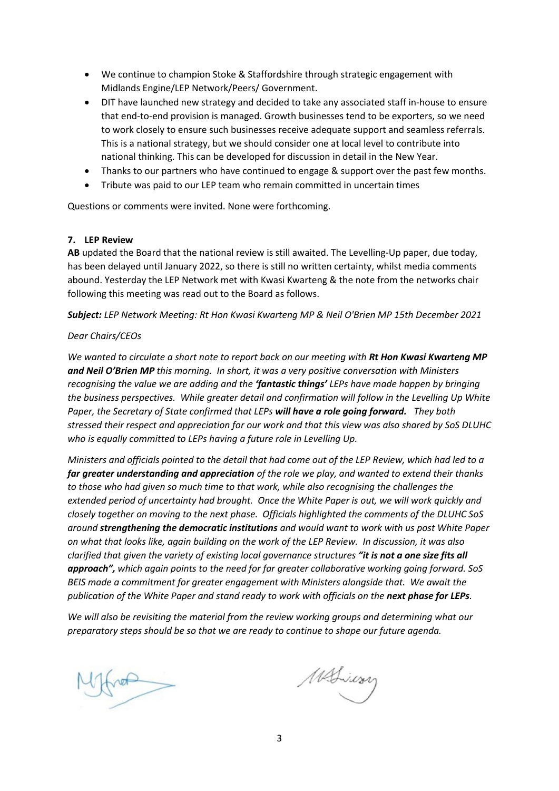- We continue to champion Stoke & Staffordshire through strategic engagement with Midlands Engine/LEP Network/Peers/ Government.
- DIT have launched new strategy and decided to take any associated staff in-house to ensure that end-to-end provision is managed. Growth businesses tend to be exporters, so we need to work closely to ensure such businesses receive adequate support and seamless referrals. This is a national strategy, but we should consider one at local level to contribute into national thinking. This can be developed for discussion in detail in the New Year.
- Thanks to our partners who have continued to engage & support over the past few months.
- Tribute was paid to our LEP team who remain committed in uncertain times

Questions or comments were invited. None were forthcoming.

#### **7. LEP Review**

**AB** updated the Board that the national review is still awaited. The Levelling-Up paper, due today, has been delayed until January 2022, so there is still no written certainty, whilst media comments abound. Yesterday the LEP Network met with Kwasi Kwarteng & the note from the networks chair following this meeting was read out to the Board as follows.

*Subject: LEP Network Meeting: Rt Hon Kwasi Kwarteng MP & Neil O'Brien MP 15th December 2021*

#### *Dear Chairs/CEOs*

*We wanted to circulate a short note to report back on our meeting with Rt Hon Kwasi Kwarteng MP and Neil O'Brien MP this morning. In short, it was a very positive conversation with Ministers recognising the value we are adding and the 'fantastic things' LEPs have made happen by bringing the business perspectives. While greater detail and confirmation will follow in the Levelling Up White Paper, the Secretary of State confirmed that LEPs will have a role going forward. They both stressed their respect and appreciation for our work and that this view was also shared by SoS DLUHC who is equally committed to LEPs having a future role in Levelling Up.* 

*Ministers and officials pointed to the detail that had come out of the LEP Review, which had led to a far greater understanding and appreciation of the role we play, and wanted to extend their thanks to those who had given so much time to that work, while also recognising the challenges the extended period of uncertainty had brought. Once the White Paper is out, we will work quickly and closely together on moving to the next phase. Officials highlighted the comments of the DLUHC SoS around strengthening the democratic institutions and would want to work with us post White Paper on what that looks like, again building on the work of the LEP Review. In discussion, it was also clarified that given the variety of existing local governance structures "it is not a one size fits all approach", which again points to the need for far greater collaborative working going forward. SoS BEIS made a commitment for greater engagement with Ministers alongside that. We await the publication of the White Paper and stand ready to work with officials on the next phase for LEPs.*

*We will also be revisiting the material from the review working groups and determining what our preparatory steps should be so that we are ready to continue to shape our future agenda.*

 $\downarrow$ 

MALiway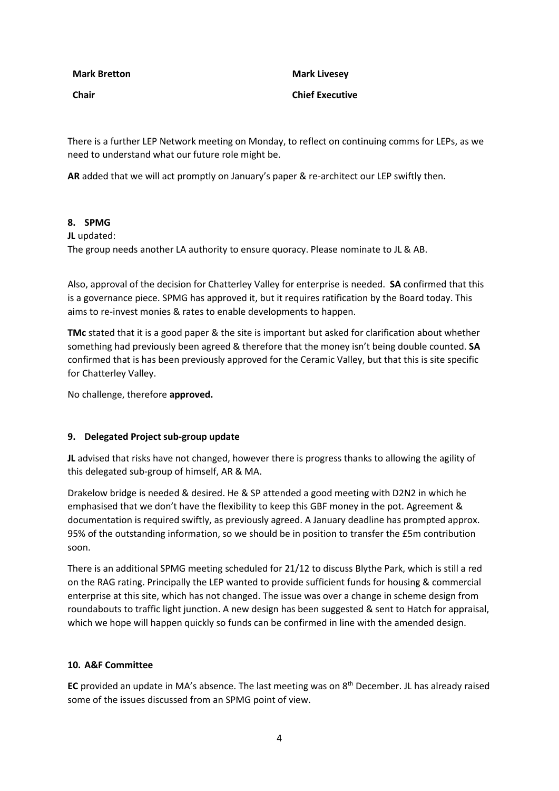**Mark Bretton**

**Chair**

**Mark Livesey Chief Executive**

There is a further LEP Network meeting on Monday, to reflect on continuing comms for LEPs, as we need to understand what our future role might be.

**AR** added that we will act promptly on January's paper & re-architect our LEP swiftly then.

#### **8. SPMG**

**JL** updated:

The group needs another LA authority to ensure quoracy. Please nominate to JL & AB.

Also, approval of the decision for Chatterley Valley for enterprise is needed. **SA** confirmed that this is a governance piece. SPMG has approved it, but it requires ratification by the Board today. This aims to re-invest monies & rates to enable developments to happen.

**TMc** stated that it is a good paper & the site is important but asked for clarification about whether something had previously been agreed & therefore that the money isn't being double counted. **SA** confirmed that is has been previously approved for the Ceramic Valley, but that this is site specific for Chatterley Valley.

No challenge, therefore **approved.**

#### **9. Delegated Project sub-group update**

**JL** advised that risks have not changed, however there is progress thanks to allowing the agility of this delegated sub-group of himself, AR & MA.

Drakelow bridge is needed & desired. He & SP attended a good meeting with D2N2 in which he emphasised that we don't have the flexibility to keep this GBF money in the pot. Agreement & documentation is required swiftly, as previously agreed. A January deadline has prompted approx. 95% of the outstanding information, so we should be in position to transfer the £5m contribution soon.

There is an additional SPMG meeting scheduled for 21/12 to discuss Blythe Park, which is still a red on the RAG rating. Principally the LEP wanted to provide sufficient funds for housing & commercial enterprise at this site, which has not changed. The issue was over a change in scheme design from roundabouts to traffic light junction. A new design has been suggested & sent to Hatch for appraisal, which we hope will happen quickly so funds can be confirmed in line with the amended design.

#### **10. A&F Committee**

**EC** provided an update in MA's absence. The last meeting was on 8th December. JL has already raised some of the issues discussed from an SPMG point of view.